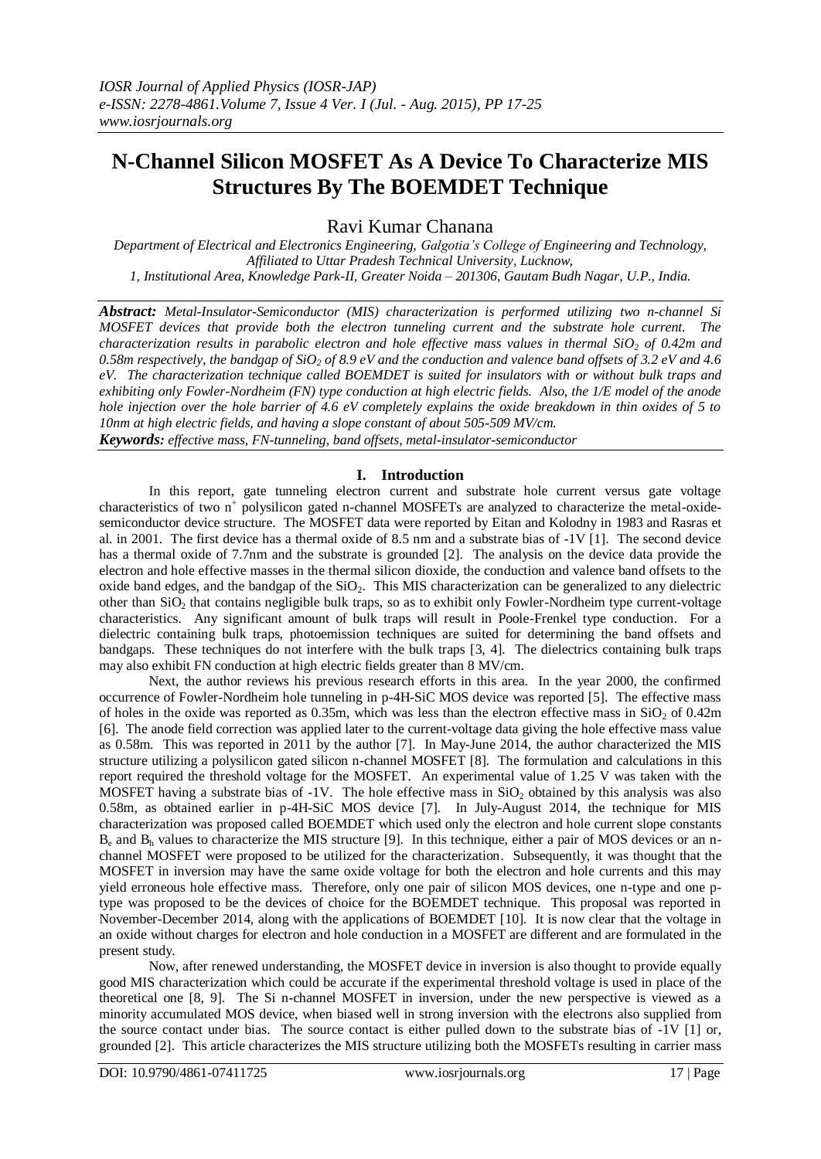# **N-Channel Silicon MOSFET As A Device To Characterize MIS Structures By The BOEMDET Technique**

Ravi Kumar Chanana

*Department of Electrical and Electronics Engineering, Galgotia's College of Engineering and Technology, Affiliated to Uttar Pradesh Technical University, Lucknow, 1, Institutional Area, Knowledge Park-II, Greater Noida – 201306, Gautam Budh Nagar, U.P., India.*

*Abstract: Metal-Insulator-Semiconductor (MIS) characterization is performed utilizing two n-channel Si MOSFET devices that provide both the electron tunneling current and the substrate hole current. The characterization results in parabolic electron and hole effective mass values in thermal SiO<sup>2</sup> of 0.42m and 0.58m respectively, the bandgap of SiO<sup>2</sup> of 8.9 eV and the conduction and valence band offsets of 3.2 eV and 4.6 eV. The characterization technique called BOEMDET is suited for insulators with or without bulk traps and exhibiting only Fowler-Nordheim (FN) type conduction at high electric fields. Also, the 1/E model of the anode hole injection over the hole barrier of 4.6 eV completely explains the oxide breakdown in thin oxides of 5 to 10nm at high electric fields, and having a slope constant of about 505-509 MV/cm.*

*Keywords: effective mass, FN-tunneling, band offsets, metal-insulator-semiconductor*

# **I. Introduction**

In this report, gate tunneling electron current and substrate hole current versus gate voltage characteristics of two n<sup>+</sup> polysilicon gated n-channel MOSFETs are analyzed to characterize the metal-oxidesemiconductor device structure. The MOSFET data were reported by Eitan and Kolodny in 1983 and Rasras et al. in 2001. The first device has a thermal oxide of 8.5 nm and a substrate bias of -1V [1]. The second device has a thermal oxide of 7.7nm and the substrate is grounded [2]. The analysis on the device data provide the electron and hole effective masses in the thermal silicon dioxide, the conduction and valence band offsets to the oxide band edges, and the bandgap of the  $SiO<sub>2</sub>$ . This MIS characterization can be generalized to any dielectric other than SiO<sup>2</sup> that contains negligible bulk traps, so as to exhibit only Fowler-Nordheim type current-voltage characteristics. Any significant amount of bulk traps will result in Poole-Frenkel type conduction. For a dielectric containing bulk traps, photoemission techniques are suited for determining the band offsets and bandgaps. These techniques do not interfere with the bulk traps [3, 4]. The dielectrics containing bulk traps may also exhibit FN conduction at high electric fields greater than 8 MV/cm.

Next, the author reviews his previous research efforts in this area. In the year 2000, the confirmed occurrence of Fowler-Nordheim hole tunneling in p-4H-SiC MOS device was reported [5]. The effective mass of holes in the oxide was reported as 0.35m, which was less than the electron effective mass in  $SiO<sub>2</sub>$  of 0.42m [6]. The anode field correction was applied later to the current-voltage data giving the hole effective mass value as 0.58m. This was reported in 2011 by the author [7]. In May-June 2014, the author characterized the MIS structure utilizing a polysilicon gated silicon n-channel MOSFET [8]. The formulation and calculations in this report required the threshold voltage for the MOSFET. An experimental value of 1.25 V was taken with the MOSFET having a substrate bias of  $-1V$ . The hole effective mass in  $SiO<sub>2</sub>$  obtained by this analysis was also 0.58m, as obtained earlier in p-4H-SiC MOS device [7]. In July-August 2014, the technique for MIS characterization was proposed called BOEMDET which used only the electron and hole current slope constants  $B_e$  and  $B_h$  values to characterize the MIS structure [9]. In this technique, either a pair of MOS devices or an nchannel MOSFET were proposed to be utilized for the characterization. Subsequently, it was thought that the MOSFET in inversion may have the same oxide voltage for both the electron and hole currents and this may yield erroneous hole effective mass. Therefore, only one pair of silicon MOS devices, one n-type and one ptype was proposed to be the devices of choice for the BOEMDET technique. This proposal was reported in November-December 2014, along with the applications of BOEMDET [10]. It is now clear that the voltage in an oxide without charges for electron and hole conduction in a MOSFET are different and are formulated in the present study.

Now, after renewed understanding, the MOSFET device in inversion is also thought to provide equally good MIS characterization which could be accurate if the experimental threshold voltage is used in place of the theoretical one [8, 9]. The Si n-channel MOSFET in inversion, under the new perspective is viewed as a minority accumulated MOS device, when biased well in strong inversion with the electrons also supplied from the source contact under bias. The source contact is either pulled down to the substrate bias of -1V [1] or, grounded [2]. This article characterizes the MIS structure utilizing both the MOSFETs resulting in carrier mass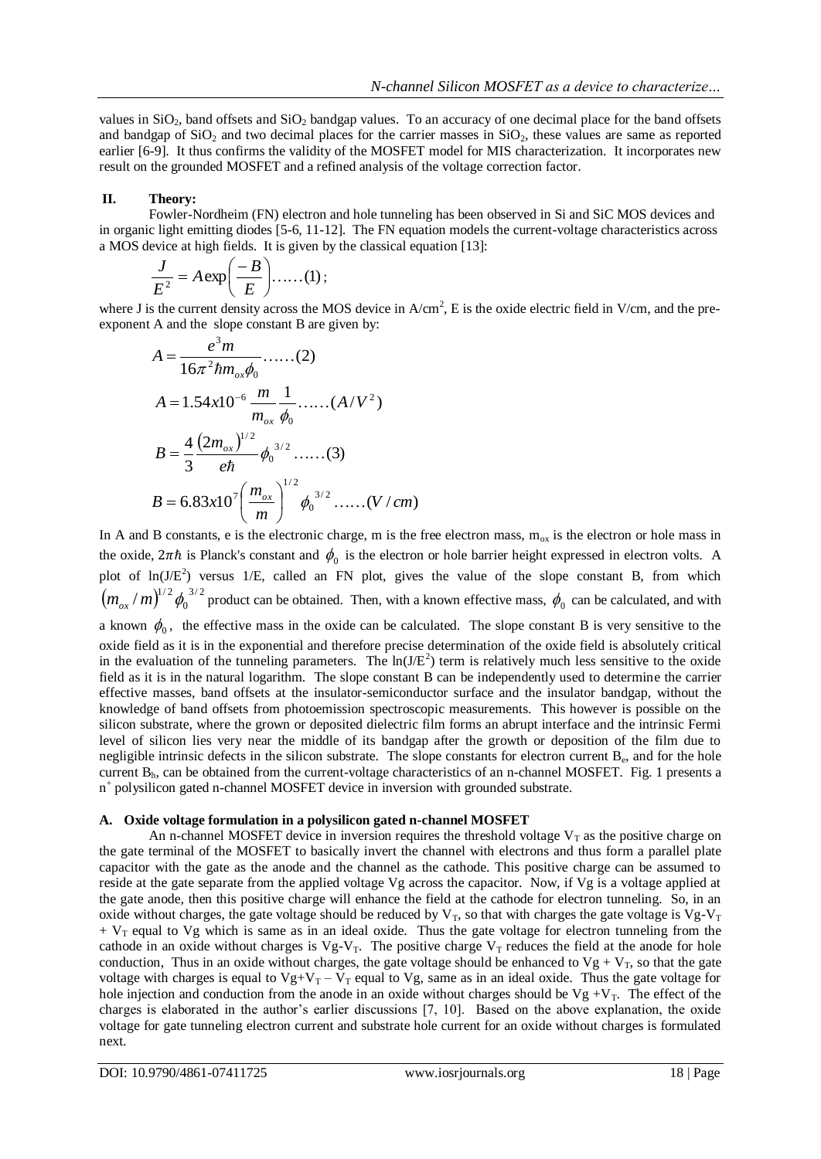values in  $SiO<sub>2</sub>$ , band offsets and  $SiO<sub>2</sub>$  bandgap values. To an accuracy of one decimal place for the band offsets and bandgap of  $SiO<sub>2</sub>$  and two decimal places for the carrier masses in  $SiO<sub>2</sub>$ , these values are same as reported earlier [6-9]. It thus confirms the validity of the MOSFET model for MIS characterization. It incorporates new result on the grounded MOSFET and a refined analysis of the voltage correction factor.

# **II. Theory:**

Fowler-Nordheim (FN) electron and hole tunneling has been observed in Si and SiC MOS devices and in organic light emitting diodes [5-6, 11-12]. The FN equation models the current-voltage characteristics across a MOS device at high fields. It is given by the classical equation [13]:

$$
\frac{J}{E^2} = A \exp\left(\frac{-B}{E}\right) \dots (1);
$$

where J is the current density across the MOS device in  $A/cm^2$ , E is the oxide electric field in V/cm, and the preexponent A and the slope constant B are given by:

$$
A = \frac{e^{3}m}{16\pi^{2}\hbar m_{ox}\phi_{0}} \dots (2)
$$
  
\n
$$
A = 1.54x10^{-6} \frac{m}{m_{ox}} \frac{1}{\phi_{0}} \dots (A/V^{2})
$$
  
\n
$$
B = \frac{4}{3} \frac{(2m_{ox})^{1/2}}{e\hbar} \phi_{0}^{3/2} \dots (3)
$$
  
\n
$$
B = 6.83x10^{7} \left(\frac{m_{ox}}{m}\right)^{1/2} \phi_{0}^{3/2} \dots (V/cm)
$$

In A and B constants, e is the electronic charge, m is the free electron mass,  $m_{ox}$  is the electron or hole mass in the oxide,  $2\pi\hbar$  is Planck's constant and  $\phi_0$  is the electron or hole barrier height expressed in electron volts. A plot of  $ln(J/E^2)$  versus 1/E, called an FN plot, gives the value of the slope constant B, from which  $(m_{\alpha} / m)^{1/2} \phi_0^{3/2}$  $\overline{0}$  $m_{ox}/m$ <sup> $1/2$ </sup>  $\phi_0$ <sup>3/2</sup> product can be obtained. Then, with a known effective mass,  $\phi_0$  can be calculated, and with a known  $\phi_0$ , the effective mass in the oxide can be calculated. The slope constant B is very sensitive to the oxide field as it is in the exponential and therefore precise determination of the oxide field is absolutely critical in the evaluation of the tunneling parameters. The  $ln(J/E<sup>2</sup>)$  term is relatively much less sensitive to the oxide field as it is in the natural logarithm. The slope constant B can be independently used to determine the carrier effective masses, band offsets at the insulator-semiconductor surface and the insulator bandgap, without the knowledge of band offsets from photoemission spectroscopic measurements. This however is possible on the silicon substrate, where the grown or deposited dielectric film forms an abrupt interface and the intrinsic Fermi level of silicon lies very near the middle of its bandgap after the growth or deposition of the film due to negligible intrinsic defects in the silicon substrate. The slope constants for electron current  $B_e$ , and for the hole current  $B<sub>h</sub>$ , can be obtained from the current-voltage characteristics of an n-channel MOSFET. Fig. 1 presents a n + polysilicon gated n-channel MOSFET device in inversion with grounded substrate.

## **A. Oxide voltage formulation in a polysilicon gated n-channel MOSFET**

An n-channel MOSFET device in inversion requires the threshold voltage  $V_T$  as the positive charge on the gate terminal of the MOSFET to basically invert the channel with electrons and thus form a parallel plate capacitor with the gate as the anode and the channel as the cathode. This positive charge can be assumed to reside at the gate separate from the applied voltage Vg across the capacitor. Now, if Vg is a voltage applied at the gate anode, then this positive charge will enhance the field at the cathode for electron tunneling. So, in an oxide without charges, the gate voltage should be reduced by  $V_T$ , so that with charges the gate voltage is  $V_T$ .  $+ V_T$  equal to Vg which is same as in an ideal oxide. Thus the gate voltage for electron tunneling from the cathode in an oxide without charges is  $Vg-V_T$ . The positive charge  $V_T$  reduces the field at the anode for hole conduction, Thus in an oxide without charges, the gate voltage should be enhanced to  $Vg + V_T$ , so that the gate voltage with charges is equal to  $Vg+V_T - V_T$  equal to Vg, same as in an ideal oxide. Thus the gate voltage for hole injection and conduction from the anode in an oxide without charges should be  $Vg + V_T$ . The effect of the charges is elaborated in the author's earlier discussions [7, 10]. Based on the above explanation, the oxide voltage for gate tunneling electron current and substrate hole current for an oxide without charges is formulated next.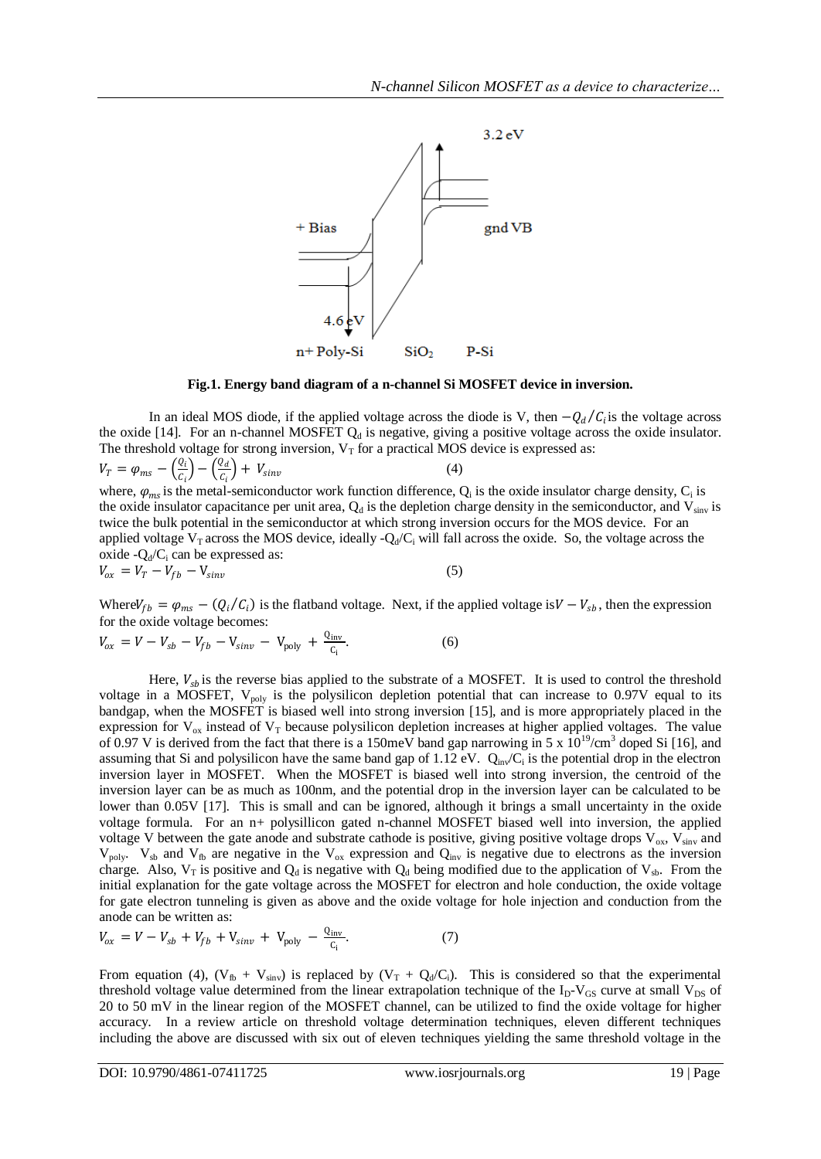

**Fig.1. Energy band diagram of a n-channel Si MOSFET device in inversion.**

In an ideal MOS diode, if the applied voltage across the diode is V, then  $-Q_d/C_i$  is the voltage across the oxide [14]. For an n-channel MOSFET  $Q_d$  is negative, giving a positive voltage across the oxide insulator. The threshold voltage for strong inversion,  $V_T$  for a practical MOS device is expressed as:

$$
V_T = \varphi_{ms} - \left(\frac{Q_i}{C_i}\right) - \left(\frac{Q_d}{C_i}\right) + V_{\text{sinv}}
$$
(4)  
where,  $\varphi_{ms}$  is the metal-semiconductor work function difference,  $Q_i$  is the oxide insulator charge density,  $C_i$  is  
the oxide insulator capacitance per unit area,  $Q_d$  is the depletion charge density in the semiconductor, and  $V_{\text{sinv}}$  is  
twice the bulk potential in the semiconductor at which strong inversion occurs for the MOS device. For an  
applied voltage  $V_T$  across the MOS device, ideally  $-Q_d/C_i$  will fall across the oxide. So, the voltage across the  
oxide  $-Q_d/C_i$  can be expressed as:  
 $V_{ox} = V_T - V_{fb} - V_{\text{sinv}}$  (5)

Where  $V_{fb} = \varphi_{ms} - (Q_i/C_i)$  is the flatband voltage. Next, if the applied voltage is  $V - V_{sb}$ , then the expression for the oxide voltage becomes:

$$
V_{ox} = V - V_{sb} - V_{fb} - V_{sinv} - V_{poly} + \frac{Q_{inv}}{C_i}.
$$
 (6)

Here,  $V_{sb}$  is the reverse bias applied to the substrate of a MOSFET. It is used to control the threshold voltage in a MOSFET,  $V_{poly}$  is the polysilicon depletion potential that can increase to 0.97V equal to its bandgap, when the MOSFET is biased well into strong inversion [15], and is more appropriately placed in the expression for  $V_{ox}$  instead of  $V_T$  because polysilicon depletion increases at higher applied voltages. The value of 0.97 V is derived from the fact that there is a 150meV band gap narrowing in 5 x  $10^{19}$ /cm<sup>3</sup> doped Si [16], and assuming that Si and polysilicon have the same band gap of 1.12 eV.  $Q_{\text{in}}/C_i$  is the potential drop in the electron inversion layer in MOSFET. When the MOSFET is biased well into strong inversion, the centroid of the inversion layer can be as much as 100nm, and the potential drop in the inversion layer can be calculated to be lower than 0.05V [17]. This is small and can be ignored, although it brings a small uncertainty in the oxide voltage formula. For an n+ polysillicon gated n-channel MOSFET biased well into inversion, the applied voltage V between the gate anode and substrate cathode is positive, giving positive voltage drops  $V_{ox}$ ,  $V_{sinv}$  and  $V_{poly}$ .  $V_{sb}$  and  $V_{fb}$  are negative in the  $V_{ox}$  expression and  $Q_{inv}$  is negative due to electrons as the inversion charge. Also,  $V_T$  is positive and  $Q_d$  is negative with  $Q_d$  being modified due to the application of  $V_{sb}$ . From the initial explanation for the gate voltage across the MOSFET for electron and hole conduction, the oxide voltage for gate electron tunneling is given as above and the oxide voltage for hole injection and conduction from the anode can be written as:

$$
V_{ox} = V - V_{sb} + V_{fb} + V_{sinv} + V_{poly} - \frac{Q_{inv}}{C_i}.
$$
 (7)

From equation (4),  $(V_{fb} + V_{\text{sinv}})$  is replaced by  $(V_T + Q_d/C_i)$ . This is considered so that the experimental threshold voltage value determined from the linear extrapolation technique of the  $I_D-V_{GS}$  curve at small  $V_{DS}$  of 20 to 50 mV in the linear region of the MOSFET channel, can be utilized to find the oxide voltage for higher accuracy. In a review article on threshold voltage determination techniques, eleven different techniques including the above are discussed with six out of eleven techniques yielding the same threshold voltage in the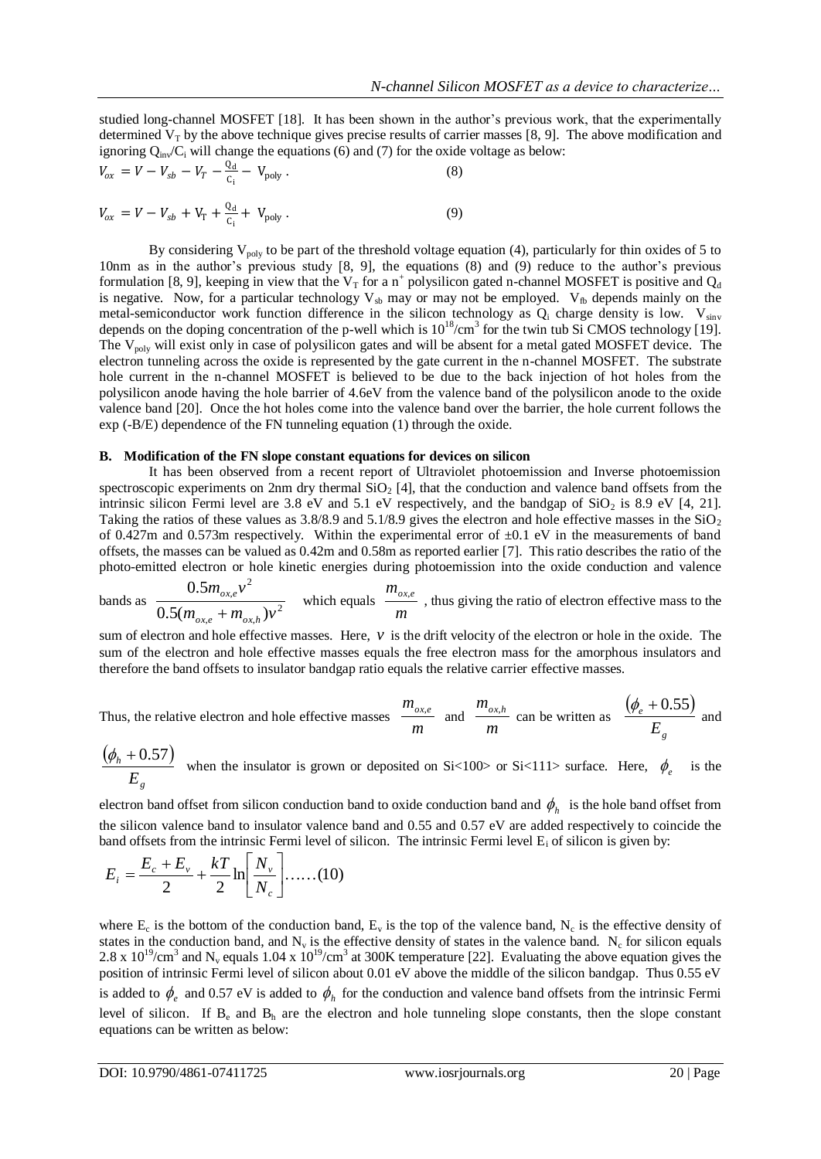studied long-channel MOSFET [18]. It has been shown in the author's previous work, that the experimentally determined  $V_T$  by the above technique gives precise results of carrier masses [8, 9]. The above modification and ignoring  $Q_{\text{in}}/C_i$  will change the equations (6) and (7) for the oxide voltage as below:

$$
V_{ox} = V - V_{sb} - V_T - \frac{Q_d}{C_i} - V_{poly}.
$$
 (8)

$$
V_{ox} = V - V_{sb} + V_{T} + \frac{Q_{d}}{C_{i}} + V_{poly}.
$$
 (9)

By considering  $V_{\text{poly}}$  to be part of the threshold voltage equation (4), particularly for thin oxides of 5 to 10nm as in the author's previous study [8, 9], the equations (8) and (9) reduce to the author's previous formulation [8, 9], keeping in view that the  $V_T$  for a n<sup>+</sup> polysilicon gated n-channel MOSFET is positive and  $Q_d$ is negative. Now, for a particular technology  $V_{sb}$  may or may not be employed.  $V_{fb}$  depends mainly on the metal-semiconductor work function difference in the silicon technology as  $Q_i$  charge density is low.  $V_{\text{sinv}}$ depends on the doping concentration of the p-well which is  $10^{18}/\text{cm}^3$  for the twin tub Si CMOS technology [19]. The V<sub>poly</sub> will exist only in case of polysilicon gates and will be absent for a metal gated MOSFET device. The electron tunneling across the oxide is represented by the gate current in the n-channel MOSFET. The substrate hole current in the n-channel MOSFET is believed to be due to the back injection of hot holes from the polysilicon anode having the hole barrier of 4.6eV from the valence band of the polysilicon anode to the oxide valence band [20]. Once the hot holes come into the valence band over the barrier, the hole current follows the exp (-B/E) dependence of the FN tunneling equation (1) through the oxide.

#### **B. Modification of the FN slope constant equations for devices on silicon**

It has been observed from a recent report of Ultraviolet photoemission and Inverse photoemission spectroscopic experiments on 2nm dry thermal  $SiO<sub>2</sub>$  [4], that the conduction and valence band offsets from the intrinsic silicon Fermi level are 3.8 eV and 5.1 eV respectively, and the bandgap of  $SiO<sub>2</sub>$  is 8.9 eV [4, 21]. Taking the ratios of these values as  $3.8/8.9$  and  $5.1/8.9$  gives the electron and hole effective masses in the  $SiO<sub>2</sub>$ of 0.427m and 0.573m respectively. Within the experimental error of  $\pm$ 0.1 eV in the measurements of band offsets, the masses can be valued as 0.42m and 0.58m as reported earlier [7]. This ratio describes the ratio of the photo-emitted electron or hole kinetic energies during photoemission into the oxide conduction and valence  $\overline{\phantom{a}}$ 

bands as 
$$
\frac{0.5m_{ox,e}v^2}{0.5(m_{ox,e}+m_{ox,h})v^2}
$$
 which equals  $\frac{m_{ox,e}}{m}$ , thus giving the ratio of electron effective mass to the

sum of electron and hole effective masses. Here,  $v$  is the drift velocity of the electron or hole in the oxide. The sum of the electron and hole effective masses equals the free electron mass for the amorphous insulators and therefore the band offsets to insulator bandgap ratio equals the relative carrier effective masses.

Thus, the relative electron and hole effective masses 
$$
\frac{m_{ox,e}}{m}
$$
 and  $\frac{m_{ox,h}}{m}$  can be written as  $\frac{(\phi_e + 0.55)}{E_g}$  and

$$
\frac{(\phi_h + 0.57)}{E_g}
$$
 when the insulator is grown or deposited on Si<100> or Si<111> surface. Here,  $\phi_e$  is the

electron band offset from silicon conduction band to oxide conduction band and  $\phi_h$  is the hole band offset from the silicon valence band to insulator valence band and 0.55 and 0.57 eV are added respectively to coincide the band offsets from the intrinsic Fermi level of silicon. The intrinsic Fermi level  $E_i$  of silicon is given by:

$$
E_i = \frac{E_c + E_v}{2} + \frac{kT}{2} \ln \left[ \frac{N_v}{N_c} \right] \dots (10)
$$

where  $E_c$  is the bottom of the conduction band,  $E_v$  is the top of the valence band,  $N_c$  is the effective density of states in the conduction band, and  $N_v$  is the effective density of states in the valence band.  $N_c$  for silicon equals 2.8 x  $10^{19}$ /cm<sup>3</sup> and N<sub>v</sub> equals 1.04 x  $10^{19}$ /cm<sup>3</sup> at 300K temperature [22]. Evaluating the above equation gives the position of intrinsic Fermi level of silicon about 0.01 eV above the middle of the silicon bandgap. Thus 0.55 eV is added to  $\phi_e$  and 0.57 eV is added to  $\phi_h$  for the conduction and valence band offsets from the intrinsic Fermi level of silicon. If  $B_e$  and  $B_h$  are the electron and hole tunneling slope constants, then the slope constant equations can be written as below: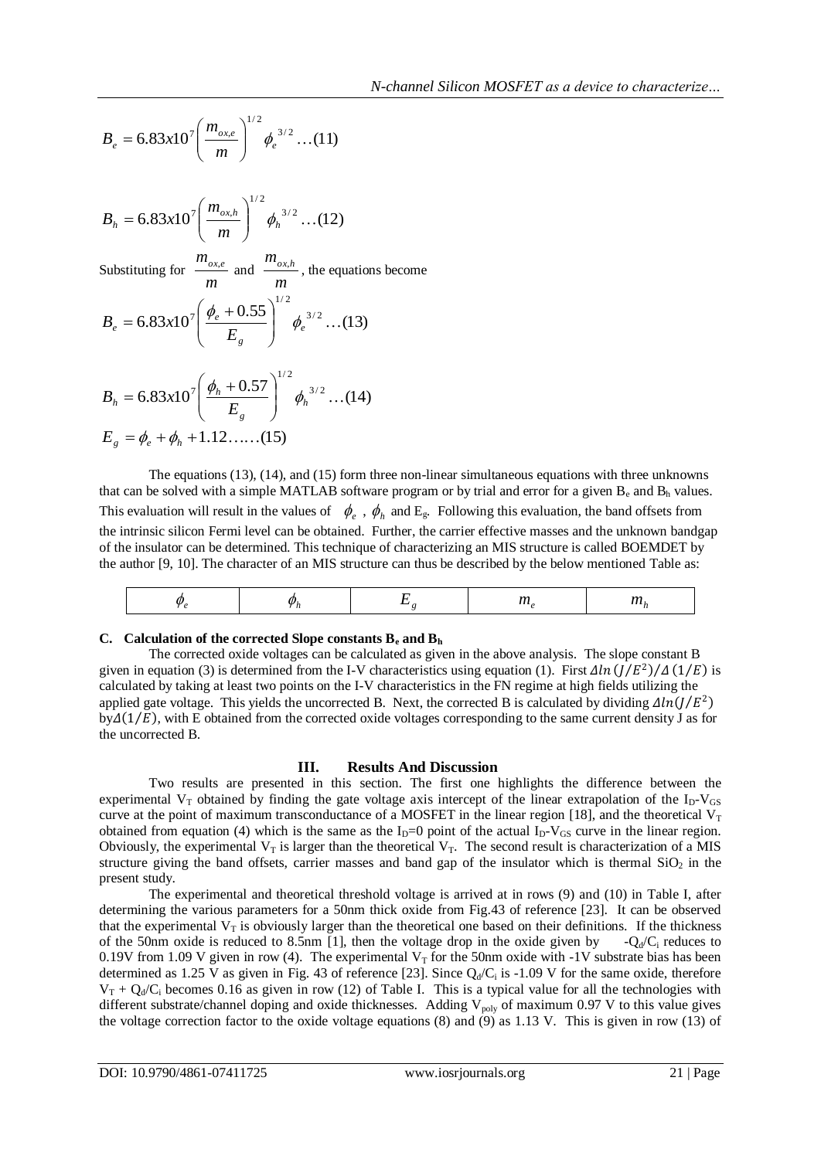$$
B_e = 6.83 \times 10^7 \left(\frac{m_{ox,e}}{m}\right)^{1/2} \phi_e^{3/2} \dots (11)
$$

$$
B_h = 6.83 \times 10^7 \left(\frac{m_{ox,h}}{m}\right)^{1/2} \phi_h^{3/2} \dots (12)
$$

Substituting for *m*  $\frac{m_{ox,e}}{m}$  and  $\frac{m_{ox}}{m}$  $\frac{m_{ox,h}}{m}$ , the equations become

$$
B_e = 6.83 \times 10^7 \left( \frac{\phi_e + 0.55}{E_g} \right)^{1/2} \phi_e^{3/2} \dots (13)
$$

$$
B_h = 6.83x10^7 \left(\frac{\phi_h + 0.57}{E_s}\right)^{1/2} \phi_h^{3/2} \dots (14)
$$
  

$$
E_g = \phi_e + \phi_h + 1.12 \dots \dots (15)
$$

The equations (13), (14), and (15) form three non-linear simultaneous equations with three unknowns that can be solved with a simple MATLAB software program or by trial and error for a given  $B_e$  and  $B_h$  values. This evaluation will result in the values of  $\phi_e$ ,  $\phi_h$  and  $E_g$ . Following this evaluation, the band offsets from the intrinsic silicon Fermi level can be obtained. Further, the carrier effective masses and the unknown bandgap of the insulator can be determined. This technique of characterizing an MIS structure is called BOEMDET by the author [9, 10]. The character of an MIS structure can thus be described by the below mentioned Table as:

|--|--|--|--|--|--|

## **C. Calculation of the corrected Slope constants B<sup>e</sup> and B<sup>h</sup>**

The corrected oxide voltages can be calculated as given in the above analysis. The slope constant B given in equation (3) is determined from the I-V characteristics using equation (1). First  $\Delta ln (J/E^2)/\Delta (1/E)$  is calculated by taking at least two points on the I-V characteristics in the FN regime at high fields utilizing the applied gate voltage. This yields the uncorrected B. Next, the corrected B is calculated by dividing  $\Delta ln(J/E^2)$  $by \Delta(1/E)$ , with E obtained from the corrected oxide voltages corresponding to the same current density J as for the uncorrected B.

## **III. Results And Discussion**

Two results are presented in this section. The first one highlights the difference between the experimental  $V_T$  obtained by finding the gate voltage axis intercept of the linear extrapolation of the  $I_D-V_{GS}$ curve at the point of maximum transconductance of a MOSFET in the linear region [18], and the theoretical  $V_T$ obtained from equation (4) which is the same as the  $I_D=0$  point of the actual  $I_D-V_{GS}$  curve in the linear region. Obviously, the experimental  $V_T$  is larger than the theoretical  $V_T$ . The second result is characterization of a MIS structure giving the band offsets, carrier masses and band gap of the insulator which is thermal  $SiO<sub>2</sub>$  in the present study.

The experimental and theoretical threshold voltage is arrived at in rows (9) and (10) in Table I, after determining the various parameters for a 50nm thick oxide from Fig.43 of reference [23]. It can be observed that the experimental  $V_T$  is obviously larger than the theoretical one based on their definitions. If the thickness of the 50nm oxide is reduced to 8.5nm [1], then the voltage drop in the oxide given by  $-Q_d/C_i$  reduces to 0.19V from 1.09 V given in row (4). The experimental  $V_T$  for the 50nm oxide with -1V substrate bias has been determined as 1.25 V as given in Fig. 43 of reference [23]. Since  $Q_d/C_i$  is -1.09 V for the same oxide, therefore  $V_T + Q_d/C_i$  becomes 0.16 as given in row (12) of Table I. This is a typical value for all the technologies with different substrate/channel doping and oxide thicknesses. Adding  $V_{poly}$  of maximum 0.97 V to this value gives the voltage correction factor to the oxide voltage equations (8) and (9) as 1.13 V. This is given in row (13) of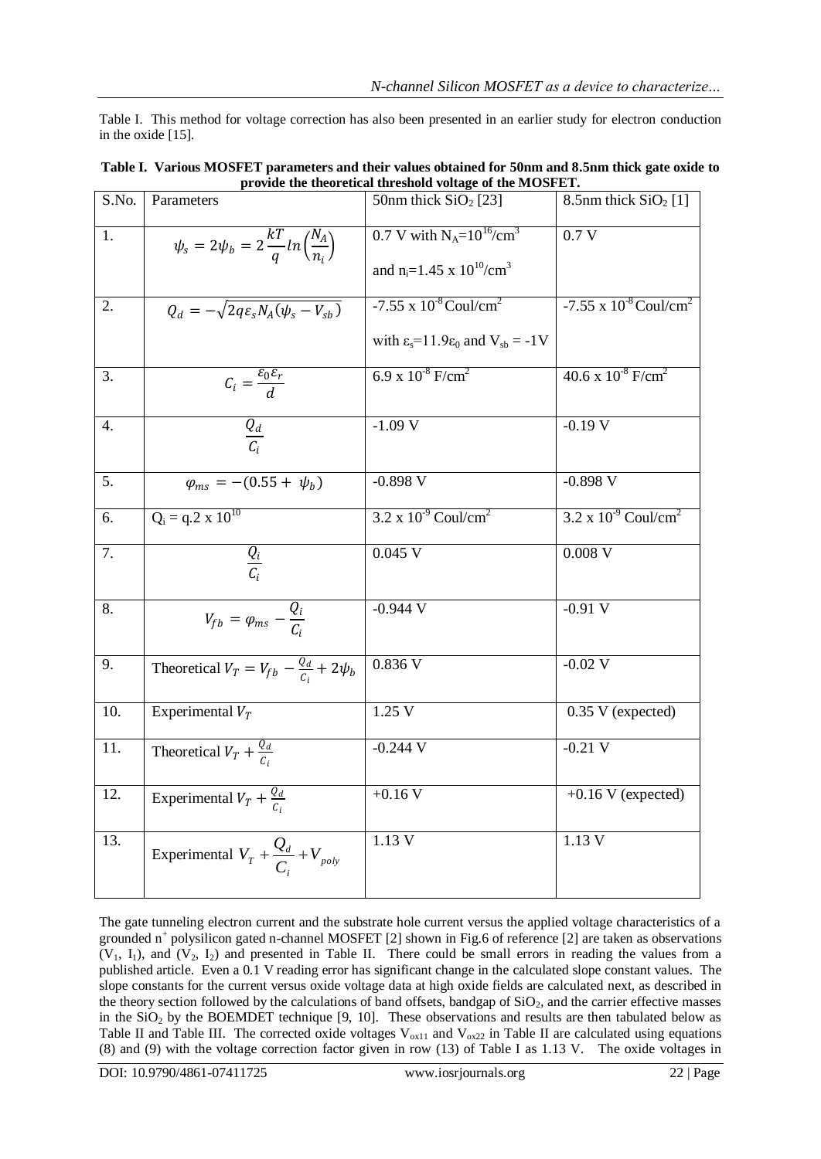Table I. This method for voltage correction has also been presented in an earlier study for electron conduction in the oxide [15].

| S.No. | Parameters                                                       | 50nm thick $SiO2$ [23]                                      | 8.5nm thick $SiO2[1]$                       |
|-------|------------------------------------------------------------------|-------------------------------------------------------------|---------------------------------------------|
| 1.    | $\psi_s = 2\psi_b = 2\frac{kT}{q}ln\left(\frac{N_A}{n_s}\right)$ | 0.7 V with $N_A = 10^{16} / \text{cm}^3$                    | 0.7V                                        |
|       |                                                                  | and n <sub>i</sub> =1.45 x $10^{10}/\text{cm}^3$            |                                             |
| 2.    | $Q_d = -\sqrt{2q\varepsilon_s N_A(\psi_s - V_{sb})}$             | $-7.55 \times 10^{-8}$ Coul/cm <sup>2</sup>                 | $-7.55 \times 10^{-8}$ Coul/cm <sup>2</sup> |
|       |                                                                  | with $\varepsilon_s = 11.9\varepsilon_0$ and $V_{sb} = -1V$ |                                             |
| 3.    | $C_i = \frac{\varepsilon_0 \varepsilon_r}{d}$                    | 6.9 x $10^{-8}$ F/cm <sup>2</sup>                           | $40.6 \times 10^{-8}$ F/cm <sup>2</sup>     |
| 4.    | $\frac{Q_d}{C}$                                                  | $-1.09V$                                                    | $-0.19V$                                    |
| 5.    | $\varphi_{ms} = -(0.55 + \psi_b)$                                | $-0.898 V$                                                  | $-0.898 V$                                  |
| 6.    | $Q_i = q.2 \times 10^{10}$                                       | $3.2 \times 10^{-9}$ Coul/cm <sup>2</sup>                   | $3.2 \times 10^{-9}$ Coul/cm <sup>2</sup>   |
| 7.    | $\frac{Q_i}{C_i}$                                                | $0.045$ V                                                   | $0.008$ V                                   |
| 8.    | $V_{fb} = \varphi_{ms} - \frac{Q_i}{C}$                          | $-0.944$ V                                                  | $-0.91V$                                    |
| 9.    | Theoretical $V_T = V_{fb} - \frac{Q_d}{C_i} + 2\psi_b$           | 0.836 V                                                     | $-0.02$ V                                   |
| 10.   | Experimental $V_T$                                               | 1.25V                                                       | 0.35 V (expected)                           |
| 11.   | Theoretical $V_T + \frac{Q_d}{C}$                                | $-0.244$ V                                                  | $-0.21$ V                                   |
| 12.   | Experimental $V_T + \frac{Q_d}{C}$                               | $+0.16 V$                                                   | $+0.16$ V (expected)                        |
| 13.   | Experimental $V_T + \frac{Q_d}{C} + V_{poly}$                    | 1.13 V                                                      | 1.13 V                                      |

| Table I. Various MOSFET parameters and their values obtained for 50nm and 8.5nm thick gate oxide to |
|-----------------------------------------------------------------------------------------------------|
| provide the theoretical threshold voltage of the MOSFET.                                            |

The gate tunneling electron current and the substrate hole current versus the applied voltage characteristics of a grounded n<sup>+</sup> polysilicon gated n-channel MOSFET [2] shown in Fig.6 of reference [2] are taken as observations  $(V_1, I_1)$ , and  $(V_2, I_2)$  and presented in Table II. There could be small errors in reading the values from a published article. Even a 0.1 V reading error has significant change in the calculated slope constant values. The slope constants for the current versus oxide voltage data at high oxide fields are calculated next, as described in the theory section followed by the calculations of band offsets, bandgap of  $SiO<sub>2</sub>$ , and the carrier effective masses in the  $SiO<sub>2</sub>$  by the BOEMDET technique [9, 10]. These observations and results are then tabulated below as Table II and Table III. The corrected oxide voltages  $V_{ox11}$  and  $V_{ox22}$  in Table II are calculated using equations (8) and (9) with the voltage correction factor given in row (13) of Table I as 1.13 V. The oxide voltages in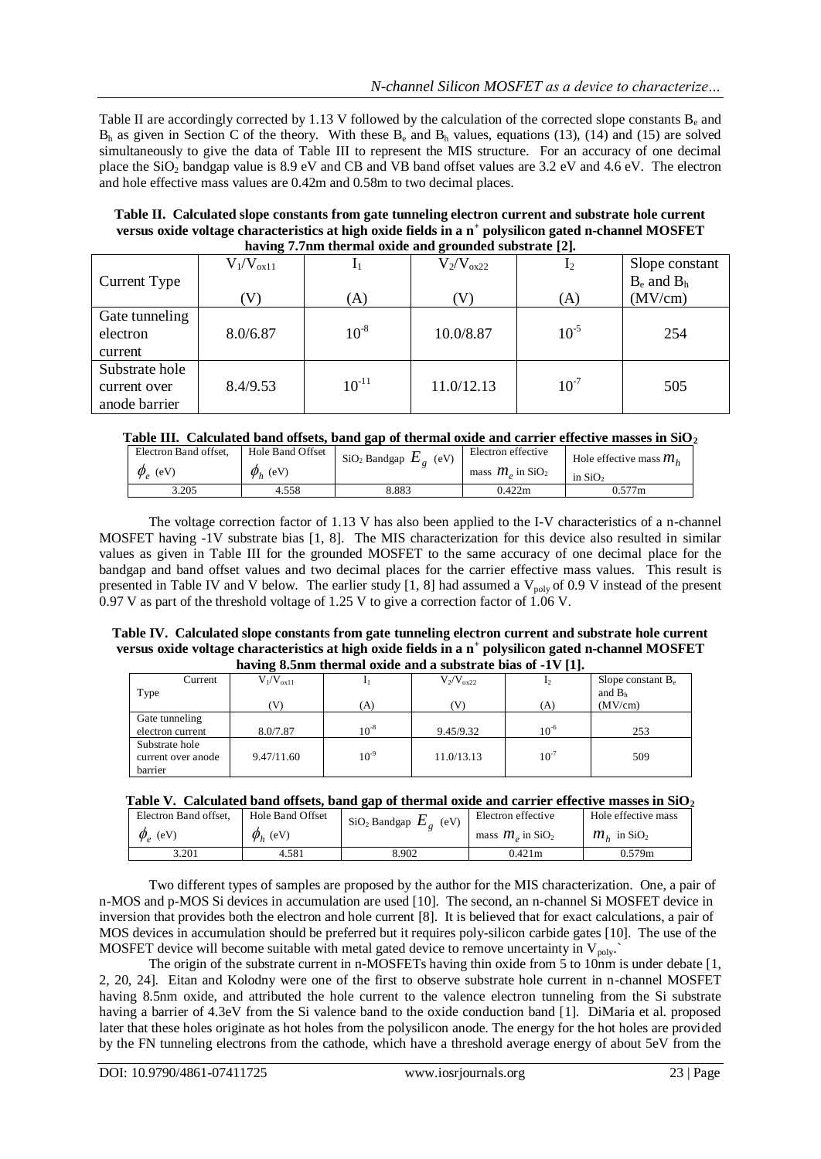Table II are accordingly corrected by 1.13 V followed by the calculation of the corrected slope constants B<sub>e</sub> and  $B_h$  as given in Section C of the theory. With these  $B_e$  and  $B_h$  values, equations (13), (14) and (15) are solved simultaneously to give the data of Table III to represent the MIS structure. For an accuracy of one decimal place the  $SiO<sub>2</sub>$  bandgap value is 8.9 eV and CB and VB band offset values are 3.2 eV and 4.6 eV. The electron and hole effective mass values are 0.42m and 0.58m to two decimal places.

**Table II. Calculated slope constants from gate tunneling electron current and substrate hole current versus oxide voltage characteristics at high oxide fields in a n<sup>+</sup> polysilicon gated n-channel MOSFET having 7.7nm thermal oxide and grounded substrate [2].**

|                | $V_1/V_{ox11}$ |            | $V_2/V_{ox22}$ | $\mathbf{I}_2$ | Slope constant  |
|----------------|----------------|------------|----------------|----------------|-----------------|
| Current Type   |                |            |                |                | $B_e$ and $B_h$ |
|                | (V)            | (A)        | (V             | (A)            | (MV/cm)         |
| Gate tunneling |                |            |                |                |                 |
| electron       | 8.0/6.87       | $10^{-8}$  | 10.0/8.87      | $10^{-5}$      | 254             |
| current        |                |            |                |                |                 |
| Substrate hole |                |            |                |                |                 |
| current over   | 8.4/9.53       | $10^{-11}$ | 11.0/12.13     | $10^{-7}$      | 505             |
| anode barrier  |                |            |                |                |                 |

## **Table III. Calculated band offsets, band gap of thermal oxide and carrier effective masses in SiO<sup>2</sup>**

| Electron Band offset.    | Hole Band Offset | $\mathrm{SiO}_2$ Bandgap $E_a$<br>(eV) | Electron effective             | Hole effective mass $mh$ |
|--------------------------|------------------|----------------------------------------|--------------------------------|--------------------------|
| $\phi$ <sub>o</sub> (eV) | $\phi_h$ (eV)    |                                        | mass $m_a$ in SiO <sub>2</sub> | in $SiO2$                |
| 3.205                    | 4.558            | 8.883                                  | 0.422m                         | 0.577m                   |

The voltage correction factor of 1.13 V has also been applied to the I-V characteristics of a n-channel MOSFET having -1V substrate bias [1, 8]. The MIS characterization for this device also resulted in similar values as given in Table III for the grounded MOSFET to the same accuracy of one decimal place for the bandgap and band offset values and two decimal places for the carrier effective mass values. This result is presented in Table IV and V below. The earlier study [1, 8] had assumed a  $V_{\text{poly}}$  of 0.9 V instead of the present 0.97 V as part of the threshold voltage of 1.25 V to give a correction factor of 1.06 V.

#### **Table IV. Calculated slope constants from gate tunneling electron current and substrate hole current versus oxide voltage characteristics at high oxide fields in a n<sup>+</sup> polysilicon gated n-channel MOSFET having 8.5nm thermal oxide and a substrate bias of -1V [1].**

| $\mu$ and $\mu$ and $\mu$ and $\mu$ and $\mu$ and $\mu$ and $\mu$ and $\mu$ and $\mu$ and $\mu$ |                |           |                |           |                      |  |
|-------------------------------------------------------------------------------------------------|----------------|-----------|----------------|-----------|----------------------|--|
| Current                                                                                         | $V_1/V_{ox11}$ |           | $V_2/V_{ox22}$ | 12        | Slope constant $B_e$ |  |
| Type                                                                                            |                |           |                |           | and $Bh$             |  |
|                                                                                                 |                | (A)       |                | (A)       | (MV/cm)              |  |
| Gate tunneling                                                                                  |                |           |                |           |                      |  |
| electron current                                                                                | 8.0/7.87       | $10^{-8}$ | 9.45/9.32      | $10^{-6}$ | 253                  |  |
| Substrate hole                                                                                  |                |           |                |           |                      |  |
| current over anode                                                                              | 9.47/11.60     | $10^{-9}$ | 11.0/13.13     | $10^{-7}$ | 509                  |  |
| barrier                                                                                         |                |           |                |           |                      |  |

# **Table V. Calculated band offsets, band gap of thermal oxide and carrier effective masses in SiO<sup>2</sup>**

| Electron Band offset. | Hole Band Offset | . .<br>$\mathrm{SiO}_2$ Bandgap $E$<br>(eV) | Electron effective             | Hole effective mass           |
|-----------------------|------------------|---------------------------------------------|--------------------------------|-------------------------------|
| $\phi_e$ (eV)         | $\varphi_h$ (eV) |                                             | mass $m_a$ in SiO <sub>2</sub> | $m_{\mu}$ in SiO <sub>2</sub> |
| 3.201                 | 4.581            | 8.902                                       | 0.421m                         | 0.579m                        |

Two different types of samples are proposed by the author for the MIS characterization. One, a pair of n-MOS and p-MOS Si devices in accumulation are used [10]. The second, an n-channel Si MOSFET device in inversion that provides both the electron and hole current [8]. It is believed that for exact calculations, a pair of MOS devices in accumulation should be preferred but it requires poly-silicon carbide gates [10]. The use of the MOSFET device will become suitable with metal gated device to remove uncertainty in  $V_{poly}$ .

The origin of the substrate current in n-MOSFETs having thin oxide from 5 to 10nm is under debate [1, 2, 20, 24]. Eitan and Kolodny were one of the first to observe substrate hole current in n-channel MOSFET having 8.5nm oxide, and attributed the hole current to the valence electron tunneling from the Si substrate having a barrier of 4.3eV from the Si valence band to the oxide conduction band [1]. DiMaria et al. proposed later that these holes originate as hot holes from the polysilicon anode. The energy for the hot holes are provided by the FN tunneling electrons from the cathode, which have a threshold average energy of about 5eV from the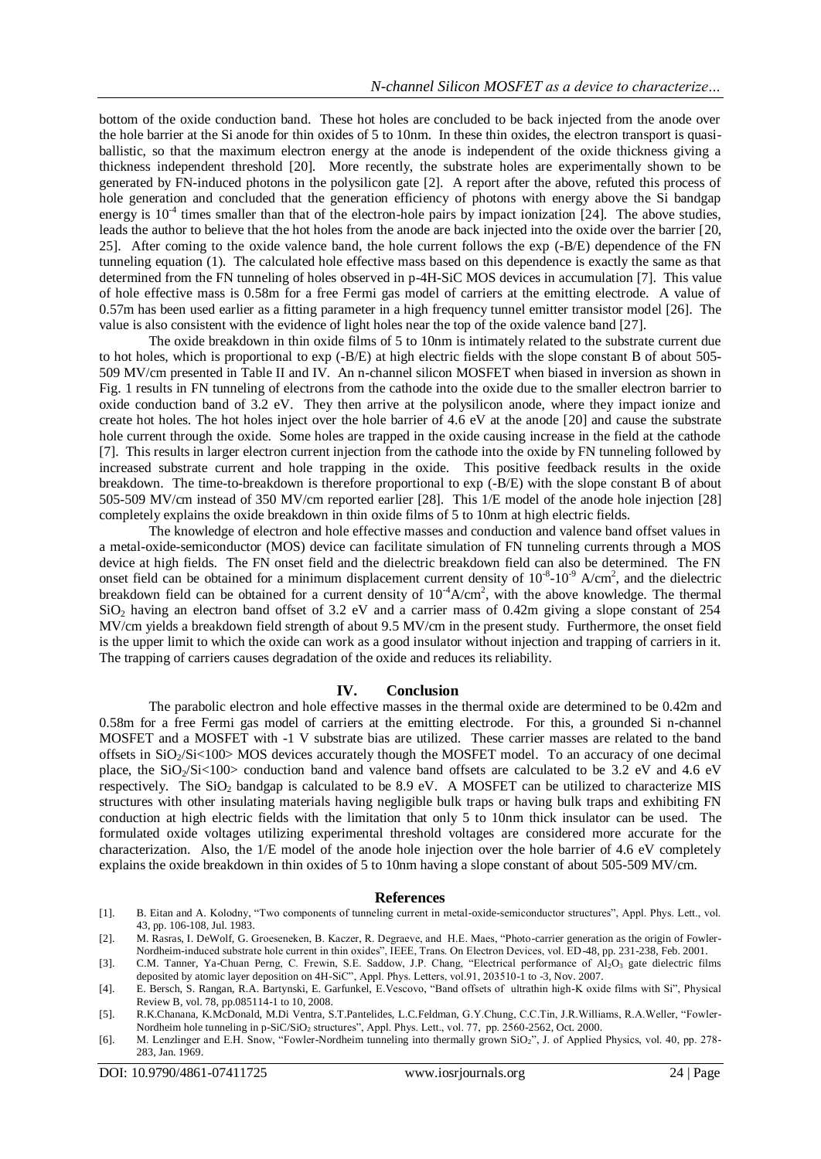bottom of the oxide conduction band. These hot holes are concluded to be back injected from the anode over the hole barrier at the Si anode for thin oxides of 5 to 10nm. In these thin oxides, the electron transport is quasiballistic, so that the maximum electron energy at the anode is independent of the oxide thickness giving a thickness independent threshold [20]. More recently, the substrate holes are experimentally shown to be generated by FN-induced photons in the polysilicon gate [2]. A report after the above, refuted this process of hole generation and concluded that the generation efficiency of photons with energy above the Si bandgap energy is  $10<sup>-4</sup>$  times smaller than that of the electron-hole pairs by impact ionization [24]. The above studies, leads the author to believe that the hot holes from the anode are back injected into the oxide over the barrier [20, 25]. After coming to the oxide valence band, the hole current follows the exp (-B/E) dependence of the FN tunneling equation (1). The calculated hole effective mass based on this dependence is exactly the same as that determined from the FN tunneling of holes observed in p-4H-SiC MOS devices in accumulation [7]. This value of hole effective mass is 0.58m for a free Fermi gas model of carriers at the emitting electrode. A value of 0.57m has been used earlier as a fitting parameter in a high frequency tunnel emitter transistor model [26]. The value is also consistent with the evidence of light holes near the top of the oxide valence band [27].

The oxide breakdown in thin oxide films of 5 to 10nm is intimately related to the substrate current due to hot holes, which is proportional to exp (-B/E) at high electric fields with the slope constant B of about 505- 509 MV/cm presented in Table II and IV. An n-channel silicon MOSFET when biased in inversion as shown in Fig. 1 results in FN tunneling of electrons from the cathode into the oxide due to the smaller electron barrier to oxide conduction band of 3.2 eV. They then arrive at the polysilicon anode, where they impact ionize and create hot holes. The hot holes inject over the hole barrier of 4.6 eV at the anode [20] and cause the substrate hole current through the oxide. Some holes are trapped in the oxide causing increase in the field at the cathode [7]. This results in larger electron current injection from the cathode into the oxide by FN tunneling followed by increased substrate current and hole trapping in the oxide. This positive feedback results in the oxide breakdown. The time-to-breakdown is therefore proportional to exp (-B/E) with the slope constant B of about 505-509 MV/cm instead of 350 MV/cm reported earlier [28]. This 1/E model of the anode hole injection [28] completely explains the oxide breakdown in thin oxide films of 5 to 10nm at high electric fields.

The knowledge of electron and hole effective masses and conduction and valence band offset values in a metal-oxide-semiconductor (MOS) device can facilitate simulation of FN tunneling currents through a MOS device at high fields. The FN onset field and the dielectric breakdown field can also be determined. The FN onset field can be obtained for a minimum displacement current density of  $10^{-8}$ - $10^{-9}$  A/cm<sup>2</sup>, and the dielectric breakdown field can be obtained for a current density of  $10^{-4}A/cm^2$ , with the above knowledge. The thermal SiO<sub>2</sub> having an electron band offset of 3.2 eV and a carrier mass of 0.42m giving a slope constant of 254 MV/cm yields a breakdown field strength of about 9.5 MV/cm in the present study. Furthermore, the onset field is the upper limit to which the oxide can work as a good insulator without injection and trapping of carriers in it. The trapping of carriers causes degradation of the oxide and reduces its reliability.

## **IV. Conclusion**

The parabolic electron and hole effective masses in the thermal oxide are determined to be 0.42m and 0.58m for a free Fermi gas model of carriers at the emitting electrode. For this, a grounded Si n-channel MOSFET and a MOSFET with -1 V substrate bias are utilized. These carrier masses are related to the band offsets in SiO<sub>2</sub>/Si<100> MOS devices accurately though the MOSFET model. To an accuracy of one decimal place, the SiO<sub>2</sub>/Si<100> conduction band and valence band offsets are calculated to be 3.2 eV and 4.6 eV respectively. The  $SiO<sub>2</sub>$  bandgap is calculated to be 8.9 eV. A MOSFET can be utilized to characterize MIS structures with other insulating materials having negligible bulk traps or having bulk traps and exhibiting FN conduction at high electric fields with the limitation that only 5 to 10nm thick insulator can be used. The formulated oxide voltages utilizing experimental threshold voltages are considered more accurate for the characterization. Also, the 1/E model of the anode hole injection over the hole barrier of 4.6 eV completely explains the oxide breakdown in thin oxides of 5 to 10nm having a slope constant of about 505-509 MV/cm.

#### **References**

- [1]. B. Eitan and A. Kolodny, "Two components of tunneling current in metal-oxide-semiconductor structures", Appl. Phys. Lett., vol. 43, pp. 106-108, Jul. 1983.
- [2]. M. Rasras, I. DeWolf, G. Groeseneken, B. Kaczer, R. Degraeve, and H.E. Maes, "Photo-carrier generation as the origin of Fowler-Nordheim-induced substrate hole current in thin oxides", IEEE, Trans. On Electron Devices, vol. ED-48, pp. 231-238, Feb. 2001.
- [3]. C.M. Tanner, Ya-Chuan Perng, C. Frewin, S.E. Saddow, J.P. Chang, "Electrical performance of Al<sub>2</sub>O<sub>3</sub> gate dielectric films deposited by atomic layer deposition on 4H-SiC", Appl. Phys. Letters, vol.91, 203510-1 to -3, Nov. 2007.
- [4]. E. Bersch, S. Rangan, R.A. Bartynski, E. Garfunkel, E.Vescovo, "Band offsets of ultrathin high-K oxide films with Si", Physical Review B, vol. 78, pp.085114-1 to 10, 2008.
- [5]. R.K.Chanana, K.McDonald, M.Di Ventra, S.T.Pantelides, L.C.Feldman, G.Y.Chung, C.C.Tin, J.R.Williams, R.A.Weller, "Fowler-Nordheim hole tunneling in p-SiC/SiO<sub>2</sub> structures", Appl. Phys. Lett., vol. 77, pp. 2560-2562, Oct. 2000.
- [6]. M. Lenzlinger and E.H. Snow, "Fowler-Nordheim tunneling into thermally grown SiO<sub>2</sub>", J. of Applied Physics, vol. 40, pp. 278-283, Jan. 1969.